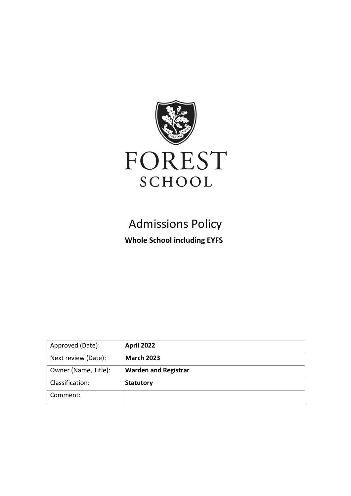

# Admissions Policy **Whole School including EYFS**

| Approved (Date):     | April 2022                  |
|----------------------|-----------------------------|
| Next review (Date):  | <b>March 2023</b>           |
| Owner (Name, Title): | <b>Warden and Registrar</b> |
| Classification:      | <b>Statutory</b>            |
| Comment:             |                             |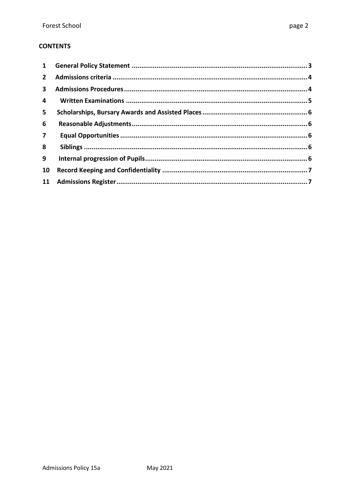#### **CONTENTS**

| $\mathbf{1}$            |  |
|-------------------------|--|
| $\mathbf{2}$            |  |
| $\overline{\mathbf{3}}$ |  |
| 4                       |  |
| 5                       |  |
| 6                       |  |
| $\overline{7}$          |  |
| 8                       |  |
| 9                       |  |
| 10                      |  |
|                         |  |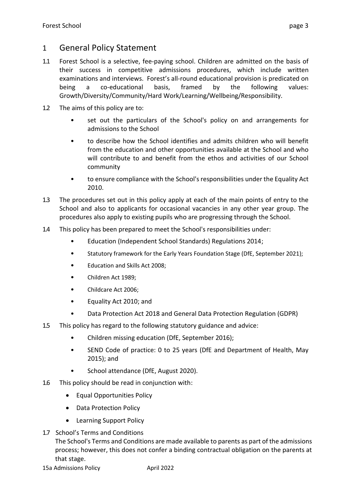### <span id="page-2-0"></span>1 General Policy Statement

- 1.1 Forest School is a selective, fee-paying school. Children are admitted on the basis of their success in competitive admissions procedures, which include written examinations and interviews. Forest's all-round educational provision is predicated on being a co-educational basis, framed by the following values: Growth/Diversity/Community/Hard Work/Learning/Wellbeing/Responsibility.
- 1.2 The aims of this policy are to:
	- set out the particulars of the School's policy on and arrangements for admissions to the School
	- to describe how the School identifies and admits children who will benefit from the education and other opportunities available at the School and who will contribute to and benefit from the ethos and activities of our School community
	- to ensure compliance with the School's responsibilities under the Equality Act 2010.
- 1.3 The procedures set out in this policy apply at each of the main points of entry to the School and also to applicants for occasional vacancies in any other year group. The procedures also apply to existing pupils who are progressing through the School.
- 1.4 This policy has been prepared to meet the School's responsibilities under:
	- Education (Independent School Standards) Regulations 2014;
	- Statutory framework for the Early Years Foundation Stage (DfE, September 2021);
	- Education and Skills Act 2008;
	- Children Act 1989;
	- Childcare Act 2006;
	- Equality Act 2010; and
	- Data Protection Act 2018 and General Data Protection Regulation (GDPR)
- 1.5 This policy has regard to the following statutory guidance and advice:
	- Children missing education (DfE, September 2016);
	- SEND Code of practice: 0 to 25 years (DfE and Department of Health, May 2015); and
	- School attendance (DfE, August 2020).
- 1.6 This policy should be read in conjunction with:
	- Equal Opportunities Policy
	- Data Protection Policy
	- Learning Support Policy
- 1.7 School's Terms and Conditions

The School's Terms and Conditions are made available to parents as part of the admissions process; however, this does not confer a binding contractual obligation on the parents at that stage.

15a Admissions Policy **April 2022**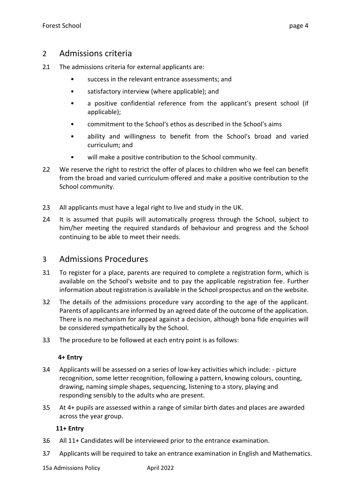### <span id="page-3-0"></span>2 Admissions criteria

- 2.1 The admissions criteria for external applicants are:
	- success in the relevant entrance assessments; and
	- satisfactory interview (where applicable); and
	- a positive confidential reference from the applicant's present school (if applicable);
	- commitment to the School's ethos as described in the School's aims
	- ability and willingness to benefit from the School's broad and varied curriculum; and
	- will make a positive contribution to the School community.
- 2.2 We reserve the right to restrict the offer of places to children who we feel can benefit from the broad and varied curriculum offered and make a positive contribution to the School community.
- 2.3 All applicants must have a legal right to live and study in the UK.
- 2.4 It is assumed that pupils will automatically progress through the School, subject to him/her meeting the required standards of behaviour and progress and the School continuing to be able to meet their needs.

### <span id="page-3-1"></span>3 Admissions Procedures

- 3.1 To register for a place, parents are required to complete a registration form, which is available on the School's website and to pay the applicable registration fee. Further information about registration is available in the School prospectus and on the website.
- 3.2 The details of the admissions procedure vary according to the age of the applicant. Parents of applicants are informed by an agreed date of the outcome of the application. There is no mechanism for appeal against a decision, although bona fide enquiries will be considered sympathetically by the School.
- 3.3 The procedure to be followed at each entry point is as follows:

#### **4+ Entry**

- 3.4 Applicants will be assessed on a series of low-key activities which include: picture recognition, some letter recognition, following a pattern, knowing colours, counting, drawing, naming simple shapes, sequencing, listening to a story, playing and responding sensibly to the adults who are present.
- 3.5 At 4+ pupils are assessed within a range of similar birth dates and places are awarded across the year group.

#### **11+ Entry**

- 3.6 All 11+ Candidates will be interviewed prior to the entrance examination.
- 3.7 Applicants will be required to take an entrance examination in English and Mathematics.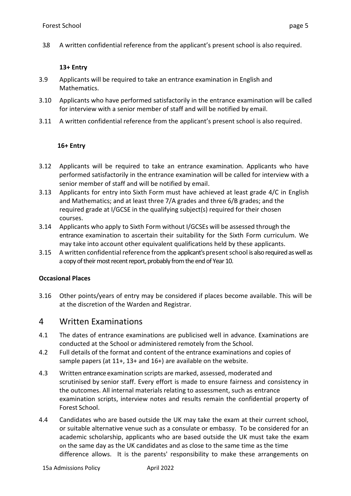3.8 A written confidential reference from the applicant's present school is also required.

#### **13+ Entry**

- 3.9 Applicants will be required to take an entrance examination in English and Mathematics.
- 3.10 Applicants who have performed satisfactorily in the entrance examination will be called for interview with a senior member of staff and will be notified by email.
- 3.11 A written confidential reference from the applicant's present school is also required.

#### **16+ Entry**

- 3.12 Applicants will be required to take an entrance examination. Applicants who have performed satisfactorily in the entrance examination will be called for interview with a senior member of staff and will be notified by email.
- 3.13 Applicants for entry into Sixth Form must have achieved at least grade 4/C in English and Mathematics; and at least three 7/A grades and three 6/B grades; and the required grade at I/GCSE in the qualifying subject(s) required for their chosen courses.
- 3.14 Applicants who apply to Sixth Form without I/GCSEs will be assessed through the entrance examination to ascertain their suitability for the Sixth Form curriculum. We may take into account other equivalent qualifications held by these applicants.
- 3.15 A written confidential reference from the applicant's present school is also required as well as a copy of their most recent report, probably from the end of Year 10.

#### **Occasional Places**

3.16 Other points/years of entry may be considered if places become available. This will be at the discretion of the Warden and Registrar.

### <span id="page-4-0"></span>4 Written Examinations

- 4.1 The dates of entrance examinations are publicised well in advance. Examinations are conducted at the School or administered remotely from the School.
- 4.2 Full details of the format and content of the entrance examinations and copies of sample papers (at 11+, 13+ and 16+) are available on the website.
- 4.3 Written entrance examination scripts are marked, assessed, moderated and scrutinised by senior staff. Every effort is made to ensure fairness and consistency in the outcomes. All internal materials relating to assessment, such as entrance examination scripts, interview notes and results remain the confidential property of Forest School.
- 4.4 Candidates who are based outside the UK may take the exam at their current school, or suitable alternative venue such as a consulate or embassy. To be considered for an academic scholarship, applicants who are based outside the UK must take the exam on the same day as the UK candidates and as close to the same time as the time difference allows. It is the parents' responsibility to make these arrangements on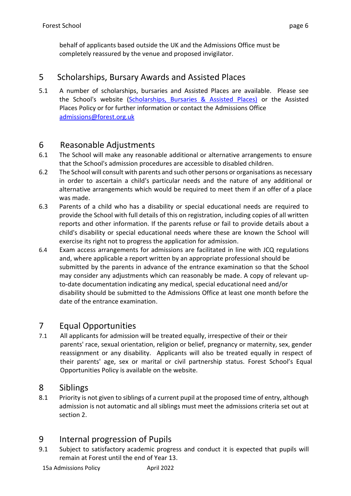behalf of applicants based outside the UK and the Admissions Office must be completely reassured by the venue and proposed invigilator.

### <span id="page-5-0"></span>5 Scholarships, Bursary Awards and Assisted Places

5.1 A number of scholarships, bursaries and Assisted Places are available. Please see the School's website [\(Scholarships, Bursaries & Assisted Places\)](https://www.forest.org.uk/admissions/scholarships-bursaries-assisted-places/) or the Assisted Places Policy or for further information or contact the Admissions Office [admissions@forest.org.uk](mailto:admissions@forest.org.uk)

### <span id="page-5-1"></span>6 Reasonable Adjustments

- 6.1 The School will make any reasonable additional or alternative arrangements to ensure that the School's admission procedures are accessible to disabled children.
- 6.2 The School will consult with parents and such other persons or organisations as necessary in order to ascertain a child's particular needs and the nature of any additional or alternative arrangements which would be required to meet them if an offer of a place was made.
- 6.3 Parents of a child who has a disability or special educational needs are required to provide the School with full details of this on registration, including copies of all written reports and other information. If the parents refuse or fail to provide details about a child's disability or special educational needs where these are known the School will exercise its right not to progress the application for admission.
- 6.4 Exam access arrangements for admissions are facilitated in line with JCQ regulations and, where applicable a report written by an appropriate professional should be submitted by the parents in advance of the entrance examination so that the School may consider any adjustments which can reasonably be made. A copy of relevant up‐ to-date documentation indicating any medical, special educational need and/or disability should be submitted to the Admissions Office at least one month before the date of the entrance examination.

## <span id="page-5-2"></span>7 Equal Opportunities

7.1 All applicants for admission will be treated equally, irrespective of their or their parents' race, sexual orientation, religion or belief, pregnancy or maternity, sex, gender reassignment or any disability. Applicants will also be treated equally in respect of their parents' age, sex or marital or civil partnership status. Forest School's Equal Opportunities Policy is available on the website.

### <span id="page-5-3"></span>8 Siblings

8.1 Priority is not given to siblings of a current pupil at the proposed time of entry, although admission is not automatic and all siblings must meet the admissions criteria set out at section 2.

# <span id="page-5-4"></span>9 Internal progression of Pupils

9.1 Subject to satisfactory academic progress and conduct it is expected that pupils will remain at Forest until the end of Year 13.